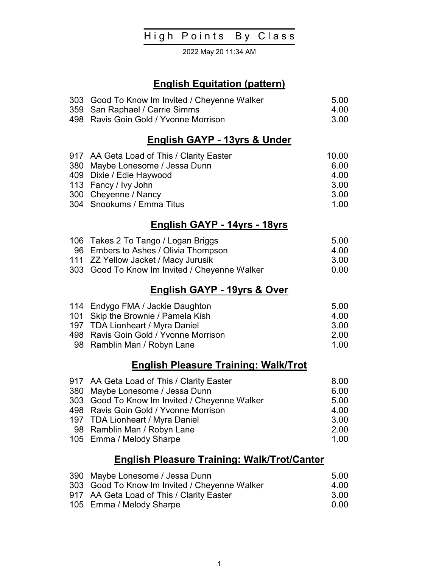# High Points By Class

2022 May 20 11:34 AM

## English Equitation (pattern)

| 303 Good To Know Im Invited / Cheyenne Walker | -5.00 |
|-----------------------------------------------|-------|
| 359 San Raphael / Carrie Simms                | 4 O.O |
| 498 Ravis Goin Gold / Yvonne Morrison         | -3.00 |

#### English GAYP - 13yrs & Under

| 917 AA Geta Load of This / Clarity Easter | 10.00 |
|-------------------------------------------|-------|
| 380 Maybe Lonesome / Jessa Dunn           | 6.00  |
| 409 Dixie / Edie Haywood                  | 4.00  |
| 113 Fancy / Ivy John                      | 3.00  |
| 300 Cheyenne / Nancy                      | 3.00  |
| 304 Snookums / Emma Titus                 | 1 OO  |

#### English GAYP - 14yrs - 18yrs

| 106 Takes 2 To Tango / Logan Briggs           | 5.00 |
|-----------------------------------------------|------|
| 96 Embers to Ashes / Olivia Thompson          | 4.00 |
| 111 ZZ Yellow Jacket / Macy Jurusik           | 3.OO |
| 303 Good To Know Im Invited / Cheyenne Walker | 0.00 |

## English GAYP - 19yrs & Over

| 114 Endygo FMA / Jackie Daughton      | 5.00  |
|---------------------------------------|-------|
| 101 Skip the Brownie / Pamela Kish    | 4 OO  |
| 197 TDA Lionheart / Myra Daniel       | 3.00  |
| 498 Ravis Goin Gold / Yvonne Morrison | 2.00  |
| 98 Ramblin Man / Robyn Lane           | 1 N N |

# English Pleasure Training: Walk/Trot

| 917 AA Geta Load of This / Clarity Easter     | 8.00 |
|-----------------------------------------------|------|
| 380 Maybe Lonesome / Jessa Dunn               | 6.00 |
| 303 Good To Know Im Invited / Cheyenne Walker | 5.00 |
| 498 Ravis Goin Gold / Yvonne Morrison         | 4.00 |
| 197 TDA Lionheart / Myra Daniel               | 3.00 |
| 98 Ramblin Man / Robyn Lane                   | 2.00 |
| 105 Emma / Melody Sharpe                      | 1.00 |

# English Pleasure Training: Walk/Trot/Canter

| 390 Maybe Lonesome / Jessa Dunn               | -5.00 |
|-----------------------------------------------|-------|
| 303 Good To Know Im Invited / Cheyenne Walker | 4 O.O |
| 917 AA Geta Load of This / Clarity Easter     | -3.00 |
| 105 Emma / Melody Sharpe                      | -0.00 |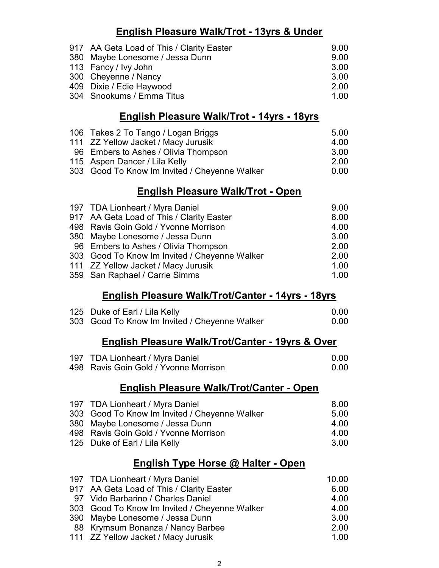# English Pleasure Walk/Trot - 13yrs & Under

| 917 AA Geta Load of This / Clarity Easter | 9.00 |
|-------------------------------------------|------|
| 380 Maybe Lonesome / Jessa Dunn           | 9.00 |
| 113 Fancy / Ivy John                      | 3.00 |
| 300 Cheyenne / Nancy                      | 3.00 |
| 409 Dixie / Edie Haywood                  | 2.00 |
| 304 Snookums / Emma Titus                 | 1.00 |

### English Pleasure Walk/Trot - 14yrs - 18yrs

| 106 Takes 2 To Tango / Logan Briggs           | 5.00 |
|-----------------------------------------------|------|
| 111 ZZ Yellow Jacket / Macy Jurusik           | 4.00 |
| 96 Embers to Ashes / Olivia Thompson          | 3.00 |
| 115 Aspen Dancer / Lila Kelly                 | 2.00 |
| 303 Good To Know Im Invited / Cheyenne Walker | 0.00 |

## English Pleasure Walk/Trot - Open

| 197 TDA Lionheart / Myra Daniel               | 9.00 |
|-----------------------------------------------|------|
| 917 AA Geta Load of This / Clarity Easter     | 8.00 |
| 498 Ravis Goin Gold / Yvonne Morrison         | 4.00 |
| 380 Maybe Lonesome / Jessa Dunn               | 3.00 |
| 96 Embers to Ashes / Olivia Thompson          | 2.00 |
| 303 Good To Know Im Invited / Cheyenne Walker | 2.00 |
| 111 ZZ Yellow Jacket / Macy Jurusik           | 1.00 |
| 359 San Raphael / Carrie Simms                | 1.00 |

### English Pleasure Walk/Trot/Canter - 14yrs - 18yrs

| 125 Duke of Earl / Lila Kelly                 | 0.00 |
|-----------------------------------------------|------|
| 303 Good To Know Im Invited / Cheyenne Walker | 0.00 |

### English Pleasure Walk/Trot/Canter - 19yrs & Over

| 197 TDA Lionheart / Myra Daniel       | 0.00 |
|---------------------------------------|------|
| 498 Ravis Goin Gold / Yvonne Morrison | 0.00 |

# English Pleasure Walk/Trot/Canter - Open

| 197 TDA Lionheart / Myra Daniel               | 8.00 |
|-----------------------------------------------|------|
| 303 Good To Know Im Invited / Cheyenne Walker | 5.00 |
| 380 Maybe Lonesome / Jessa Dunn               | 4.00 |
| 498 Ravis Goin Gold / Yvonne Morrison         | 4.00 |
| 125 Duke of Earl / Lila Kelly                 | 3.OO |
|                                               |      |

# English Type Horse @ Halter - Open

| 197 TDA Lionheart / Myra Daniel               | 10.00 |
|-----------------------------------------------|-------|
| 917 AA Geta Load of This / Clarity Easter     | 6.00  |
| 97 Vido Barbarino / Charles Daniel            | 4.00  |
| 303 Good To Know Im Invited / Cheyenne Walker | 4.00  |
| 390 Maybe Lonesome / Jessa Dunn               | 3.00  |
| 88 Krymsum Bonanza / Nancy Barbee             | 2.00  |
| 111 ZZ Yellow Jacket / Macy Jurusik           | 1.00  |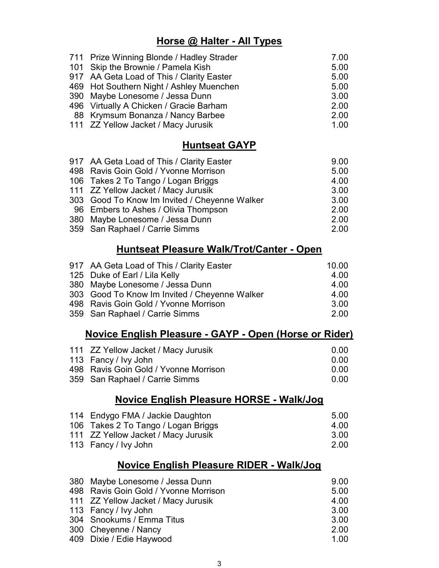### Horse @ Halter - All Types

| 711 Prize Winning Blonde / Hadley Strader | 7.00 |
|-------------------------------------------|------|
| 101 Skip the Brownie / Pamela Kish        | 5.00 |
| 917 AA Geta Load of This / Clarity Easter | 5.00 |
| 469 Hot Southern Night / Ashley Muenchen  | 5.00 |
| 390 Maybe Lonesome / Jessa Dunn           | 3.00 |
| 496 Virtually A Chicken / Gracie Barham   | 2.00 |
| 88 Krymsum Bonanza / Nancy Barbee         | 2.00 |
| 111 ZZ Yellow Jacket / Macy Jurusik       | 1.00 |

## **Huntseat GAYP**

| 917 AA Geta Load of This / Clarity Easter     | 9.00 |
|-----------------------------------------------|------|
| 498 Ravis Goin Gold / Yvonne Morrison         | 5.00 |
| 106 Takes 2 To Tango / Logan Briggs           | 4.00 |
| 111 ZZ Yellow Jacket / Macy Jurusik           | 3.00 |
| 303 Good To Know Im Invited / Cheyenne Walker | 3.00 |
| 96 Embers to Ashes / Olivia Thompson          | 2.00 |
| 380 Maybe Lonesome / Jessa Dunn               | 2.00 |
| 359 San Raphael / Carrie Simms                | 2.00 |

### Huntseat Pleasure Walk/Trot/Canter - Open

| 917 AA Geta Load of This / Clarity Easter     | 10.00 |
|-----------------------------------------------|-------|
| 125 Duke of Earl / Lila Kelly                 | 4.00  |
| 380 Maybe Lonesome / Jessa Dunn               | 4.00  |
| 303 Good To Know Im Invited / Cheyenne Walker | 4.00  |
| 498 Ravis Goin Gold / Yvonne Morrison         | 3.00  |
| 359 San Raphael / Carrie Simms                | 2.00  |

### Novice English Pleasure - GAYP - Open (Horse or Rider)

| 111 ZZ Yellow Jacket / Macy Jurusik   | -0.00 |
|---------------------------------------|-------|
| 113 Fancy / Ivy John                  | -0.00 |
| 498 Ravis Goin Gold / Yvonne Morrison | -0.00 |
| 359 San Raphael / Carrie Simms        | -0.00 |

### Novice English Pleasure HORSE - Walk/Jog

| 114 Endygo FMA / Jackie Daughton    | 5.00 |
|-------------------------------------|------|
| 106 Takes 2 To Tango / Logan Briggs | 4.00 |
| 111 ZZ Yellow Jacket / Macy Jurusik | 3.00 |
| 113 Fancy / Ivy John                | 2.00 |

## Novice English Pleasure RIDER - Walk/Jog

| 380 Maybe Lonesome / Jessa Dunn       | 9.00 |
|---------------------------------------|------|
| 498 Ravis Goin Gold / Yvonne Morrison | 5.00 |
| 111 ZZ Yellow Jacket / Macy Jurusik   | 4.00 |
| 113 Fancy / Ivy John                  | 3.00 |
| 304 Snookums / Emma Titus             | 3.00 |
| 300 Cheyenne / Nancy                  | 2.00 |
| 409 Dixie / Edie Haywood              | 1.00 |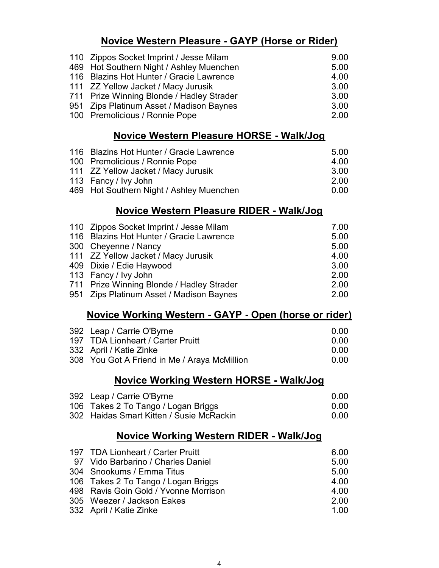# Novice Western Pleasure - GAYP (Horse or Rider)

| 110 Zippos Socket Imprint / Jesse Milam   | 9.00 |
|-------------------------------------------|------|
| 469 Hot Southern Night / Ashley Muenchen  | 5.00 |
| 116 Blazins Hot Hunter / Gracie Lawrence  | 4.00 |
| 111 ZZ Yellow Jacket / Macy Jurusik       | 3.00 |
| 711 Prize Winning Blonde / Hadley Strader | 3.00 |
| 951 Zips Platinum Asset / Madison Baynes  | 3.00 |
| 100 Premolicious / Ronnie Pope            | 2.00 |

### Novice Western Pleasure HORSE - Walk/Jog

| 116 Blazins Hot Hunter / Gracie Lawrence | 5.00 |
|------------------------------------------|------|
| 100 Premolicious / Ronnie Pope           | 4.00 |
| 111 ZZ Yellow Jacket / Macy Jurusik      | 3.00 |
| 113 Fancy / Ivy John                     | 2.00 |
| 469 Hot Southern Night / Ashley Muenchen | 0.00 |

# Novice Western Pleasure RIDER - Walk/Jog

| 110 Zippos Socket Imprint / Jesse Milam   | 7.00 |
|-------------------------------------------|------|
| 116 Blazins Hot Hunter / Gracie Lawrence  | 5.00 |
| 300 Cheyenne / Nancy                      | 5.00 |
| 111 ZZ Yellow Jacket / Macy Jurusik       | 4.00 |
| 409 Dixie / Edie Haywood                  | 3.00 |
| 113 Fancy / Ivy John                      | 2.00 |
| 711 Prize Winning Blonde / Hadley Strader | 2.00 |
| 951 Zips Platinum Asset / Madison Baynes  | 2.00 |
|                                           |      |

### Novice Working Western - GAYP - Open (horse or rider)

| 392 Leap / Carrie O'Byrne                    | 0.OQ |
|----------------------------------------------|------|
| 197 TDA Lionheart / Carter Pruitt            | 0.OQ |
| 332 April / Katie Zinke                      | 0.OQ |
| 308 You Got A Friend in Me / Araya McMillion | 0.OQ |

### Novice Working Western HORSE - Walk/Jog

| 392 Leap / Carrie O'Byrne                | -0.00 |
|------------------------------------------|-------|
| 106 Takes 2 To Tango / Logan Briggs      | 0.00  |
| 302 Haidas Smart Kitten / Susie McRackin | -0.00 |

# Novice Working Western RIDER - Walk/Jog

| 197 TDA Lionheart / Carter Pruitt     | 6.00  |
|---------------------------------------|-------|
| 97 Vido Barbarino / Charles Daniel    | 5.00  |
| 304 Snookums / Emma Titus             | 5.00  |
| 106 Takes 2 To Tango / Logan Briggs   | 4.00  |
| 498 Ravis Goin Gold / Yvonne Morrison | 4.00  |
| 305 Weezer / Jackson Eakes            | 2.00  |
| 332 April / Katie Zinke               | 1 Q O |
|                                       |       |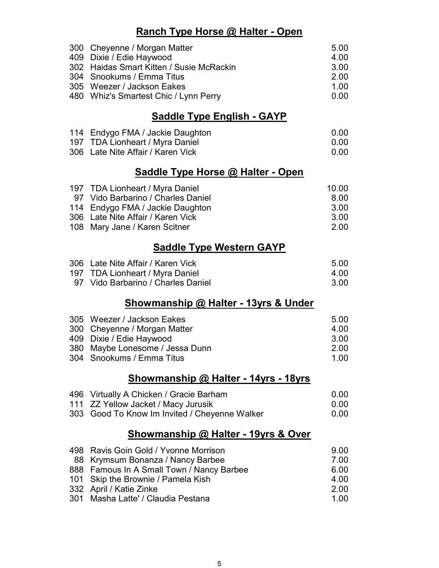### Ranch Type Horse @ Halter - Open

| 300 Cheyenne / Morgan Matter             | 5.00 |
|------------------------------------------|------|
| 409 Dixie / Edie Haywood                 | 4.00 |
| 302 Haidas Smart Kitten / Susie McRackin | 3.00 |
| 304 Snookums / Emma Titus                | 2.00 |
| 305 Weezer / Jackson Eakes               | 1.00 |
| 480 Whiz's Smartest Chic / Lynn Perry    | 0.00 |

# Saddle Type English - GAYP

| 114 Endygo FMA / Jackie Daughton  | 0.00 |
|-----------------------------------|------|
| 197 TDA Lionheart / Myra Daniel   | 0.00 |
| 306 Late Nite Affair / Karen Vick | 0.00 |

## Saddle Type Horse @ Halter - Open

| 197 TDA Lionheart / Myra Daniel    | 10.00 |
|------------------------------------|-------|
| 97 Vido Barbarino / Charles Daniel | 8 OO  |
| 114 Endygo FMA / Jackie Daughton   | 3.OO  |
| 306 Late Nite Affair / Karen Vick  | 3.OO  |
| 108 Mary Jane / Karen Scitner      | 2 OO  |

# Saddle Type Western GAYP

| 306 Late Nite Affair / Karen Vick  | 5.00 |
|------------------------------------|------|
| 197 TDA Lionheart / Myra Daniel    | 4.00 |
| 97 Vido Barbarino / Charles Daniel | 3.00 |

### Showmanship @ Halter - 13yrs & Under

| 305 Weezer / Jackson Eakes      | 5.00 |
|---------------------------------|------|
| 300 Cheyenne / Morgan Matter    | 4.00 |
| 409 Dixie / Edie Haywood        | 3.00 |
| 380 Maybe Lonesome / Jessa Dunn | 2.00 |
| 304 Snookums / Emma Titus       | 1 NO |

### Showmanship @ Halter - 14yrs - 18yrs

| 496 Virtually A Chicken / Gracie Barham       | -0.00 |
|-----------------------------------------------|-------|
| 111 ZZ Yellow Jacket / Macy Jurusik           | -0.00 |
| 303 Good To Know Im Invited / Cheyenne Walker | -0.00 |

### Showmanship @ Halter - 19yrs & Over

| 498 Ravis Goin Gold / Yvonne Morrison     | 9.00  |
|-------------------------------------------|-------|
| 88 Krymsum Bonanza / Nancy Barbee         | 7.00  |
| 888 Famous In A Small Town / Nancy Barbee | 6.00  |
| 101 Skip the Brownie / Pamela Kish        | 4.00  |
| 332 April / Katie Zinke                   | 2.00  |
| 301 Masha Latte' / Claudia Pestana        | 1 Q O |
|                                           |       |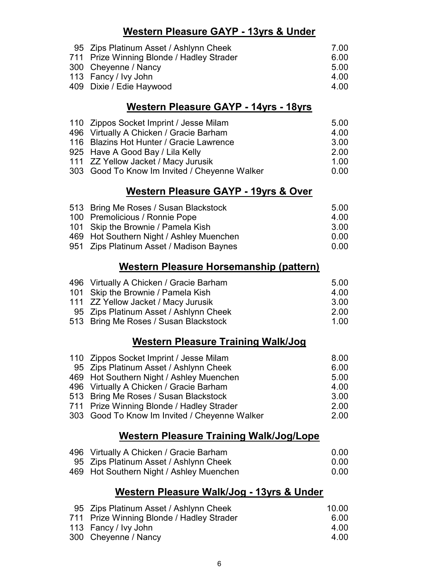### Western Pleasure GAYP - 13yrs & Under

| 95 Zips Platinum Asset / Ashlynn Cheek    | 7.00 |
|-------------------------------------------|------|
| 711 Prize Winning Blonde / Hadley Strader | 6.00 |
| 300 Cheyenne / Nancy                      | 5.00 |
| 113 Fancy / Ivy John                      | 4.00 |
| 409 Dixie / Edie Haywood                  | 4.00 |
|                                           |      |

#### Western Pleasure GAYP - 14yrs - 18yrs

| 110 Zippos Socket Imprint / Jesse Milam       | 5.00  |
|-----------------------------------------------|-------|
| 496 Virtually A Chicken / Gracie Barham       | 4.00  |
| 116 Blazins Hot Hunter / Gracie Lawrence      | 3.00  |
| 925 Have A Good Bay / Lila Kelly              | 2.00  |
| 111 ZZ Yellow Jacket / Macy Jurusik           | 1 Q O |
| 303 Good To Know Im Invited / Cheyenne Walker | 0.00  |

### Western Pleasure GAYP - 19yrs & Over

| 513 Bring Me Roses / Susan Blackstock    | 5.00 |
|------------------------------------------|------|
|                                          |      |
| 100 Premolicious / Ronnie Pope           | 4 OO |
| 101 Skip the Brownie / Pamela Kish       | 3.00 |
| 469 Hot Southern Night / Ashley Muenchen | 0.00 |
| 951 Zips Platinum Asset / Madison Baynes | 0.00 |

## Western Pleasure Horsemanship (pattern)

| 496 Virtually A Chicken / Gracie Barham | 5.00  |
|-----------------------------------------|-------|
| 101 Skip the Brownie / Pamela Kish      | 4 OO  |
| 111 ZZ Yellow Jacket / Macy Jurusik     | 3.OO  |
| 95 Zips Platinum Asset / Ashlynn Cheek  | 2.00  |
| 513 Bring Me Roses / Susan Blackstock   | 1 Q Q |

### Western Pleasure Training Walk/Jog

| 110 Zippos Socket Imprint / Jesse Milam       | 8.00 |
|-----------------------------------------------|------|
| 95 Zips Platinum Asset / Ashlynn Cheek        | 6.00 |
| 469 Hot Southern Night / Ashley Muenchen      | 5.00 |
| 496 Virtually A Chicken / Gracie Barham       | 4.00 |
| 513 Bring Me Roses / Susan Blackstock         | 3.00 |
| 711 Prize Winning Blonde / Hadley Strader     | 2.00 |
| 303 Good To Know Im Invited / Cheyenne Walker | 2.00 |
|                                               |      |

# Western Pleasure Training Walk/Jog/Lope

| 496 Virtually A Chicken / Gracie Barham  | 0.OQ |
|------------------------------------------|------|
| 95 Zips Platinum Asset / Ashlynn Cheek   | 0.OQ |
| 469 Hot Southern Night / Ashley Muenchen | 0.OQ |

## Western Pleasure Walk/Jog - 13yrs & Under

| 95 Zips Platinum Asset / Ashlynn Cheek    | 10.00 |
|-------------------------------------------|-------|
| 711 Prize Winning Blonde / Hadley Strader | 6.00  |
| 113 Fancy / Ivy John                      | 4.00  |
| 300 Cheyenne / Nancy                      | 4.00  |
|                                           |       |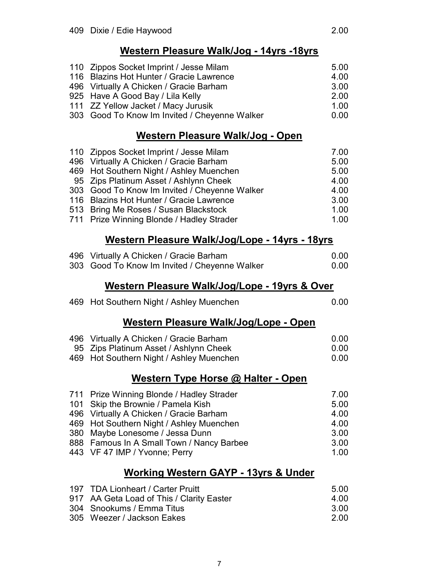| 110 Zippos Socket Imprint / Jesse Milam       | 5.00 |
|-----------------------------------------------|------|
| 116 Blazins Hot Hunter / Gracie Lawrence      | 4.00 |
| 496 Virtually A Chicken / Gracie Barham       | 3.00 |
| 925 Have A Good Bay / Lila Kelly              | 2.00 |
| 111 ZZ Yellow Jacket / Macy Jurusik           | 1.00 |
| 303 Good To Know Im Invited / Cheyenne Walker | 0.00 |

## Western Pleasure Walk/Jog - Open

| 110 Zippos Socket Imprint / Jesse Milam       | 7.00 |
|-----------------------------------------------|------|
| 496 Virtually A Chicken / Gracie Barham       | 5.00 |
| 469 Hot Southern Night / Ashley Muenchen      | 5.00 |
| 95 Zips Platinum Asset / Ashlynn Cheek        | 4.00 |
| 303 Good To Know Im Invited / Cheyenne Walker | 4.00 |
| 116 Blazins Hot Hunter / Gracie Lawrence      | 3.00 |
| 513 Bring Me Roses / Susan Blackstock         | 1.00 |
| 711 Prize Winning Blonde / Hadley Strader     | 1.00 |
|                                               |      |

# Western Pleasure Walk/Jog/Lope - 14yrs - 18yrs

| 496<br>303 | Virtually A Chicken / Gracie Barham<br>Good To Know Im Invited / Cheyenne Walker | 0.00<br>0.00 |
|------------|----------------------------------------------------------------------------------|--------------|
|            |                                                                                  |              |
|            | Western Pleasure Walk/Jog/Lope - 19yrs & Over                                    |              |
|            | 469 Hot Southern Night / Ashley Muenchen                                         | 0.00         |
|            | Western Pleasure Walk/Jog/Lope - Open                                            |              |
| 496        | Virtually A Chicken / Gracie Barham                                              | 0.00         |
|            | 95 Zips Platinum Asset / Ashlynn Cheek                                           | 0.00         |
|            | 469 Hot Southern Night / Ashley Muenchen                                         | 0.00         |
|            | Western Type Horse @ Halter - Open                                               |              |
|            | 711 Prize Winning Blonde / Hadley Strader                                        | 7.00         |
| 101        | Skip the Brownie / Pamela Kish                                                   | 5.00         |
| 496        | Virtually A Chicken / Gracie Barham                                              | 4.00         |
| 469        | Hot Southern Night / Ashley Muenchen                                             | 4.00         |
| 380        | Maybe Lonesome / Jessa Dunn                                                      | 3.00         |
|            | 888 Famous In A Small Town / Nancy Barbee                                        | 3.00         |
| 443        | VF 47 IMP / Yvonne; Perry                                                        | 1.00         |

# Working Western GAYP - 13yrs & Under

| 197 TDA Lionheart / Carter Pruitt         | -5.00 |
|-------------------------------------------|-------|
| 917 AA Geta Load of This / Clarity Easter | 4.00  |
| 304 Snookums / Emma Titus                 | -3.00 |
| 305 Weezer / Jackson Eakes                | 2 OO  |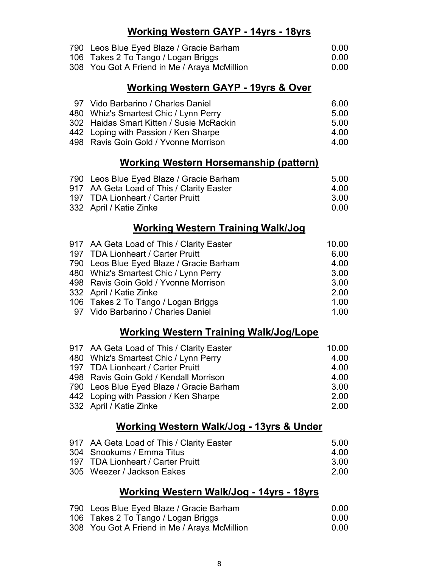# Working Western GAYP - 14yrs - 18yrs

| 790 Leos Blue Eyed Blaze / Gracie Barham     | 0.00  |
|----------------------------------------------|-------|
| 106 Takes 2 To Tango / Logan Briggs          | -0.00 |
| 308 You Got A Friend in Me / Araya McMillion | -0.00 |

# Working Western GAYP - 19yrs & Over

| 97 Vido Barbarino / Charles Daniel       | 6.00  |
|------------------------------------------|-------|
| 480 Whiz's Smartest Chic / Lynn Perry    | .5.00 |
| 302 Haidas Smart Kitten / Susie McRackin | 5.00  |
| 442 Loping with Passion / Ken Sharpe     | 4 O.O |
| 498 Ravis Goin Gold / Yvonne Morrison    | 4 OO  |

# Working Western Horsemanship (pattern)

| 790 Leos Blue Eyed Blaze / Gracie Barham  | -5.00 |
|-------------------------------------------|-------|
| 917 AA Geta Load of This / Clarity Easter | 4 O.O |
| 197 TDA Lionheart / Carter Pruitt         | -3.00 |
| 332 April / Katie Zinke                   | . വ വ |

# Working Western Training Walk/Jog

| 917 AA Geta Load of This / Clarity Easter | 10.00 |
|-------------------------------------------|-------|
| 197 TDA Lionheart / Carter Pruitt         | 6.00  |
| 790 Leos Blue Eyed Blaze / Gracie Barham  | 4.00  |
| 480 Whiz's Smartest Chic / Lynn Perry     | 3.00  |
| 498 Ravis Goin Gold / Yvonne Morrison     | 3.00  |
| 332 April / Katie Zinke                   | 2.00  |
| 106 Takes 2 To Tango / Logan Briggs       | 1.00  |
| 97 Vido Barbarino / Charles Daniel        | 1.00  |

# Working Western Training Walk/Jog/Lope

| 917 AA Geta Load of This / Clarity Easter | 10.00 |
|-------------------------------------------|-------|
| 480 Whiz's Smartest Chic / Lynn Perry     | 4.00  |
| 197 TDA Lionheart / Carter Pruitt         | 4.00  |
| 498 Ravis Goin Gold / Kendall Morrison    | 4.00  |
| 790 Leos Blue Eyed Blaze / Gracie Barham  | 3.00  |
| 442 Loping with Passion / Ken Sharpe      | 2.00  |
| 332 April / Katie Zinke                   | 2.00  |

### Working Western Walk/Jog - 13yrs & Under

| 917 AA Geta Load of This / Clarity Easter | -5.00 |
|-------------------------------------------|-------|
| 304 Snookums / Emma Titus                 | 4 O.O |
| 197 TDA Lionheart / Carter Pruitt         | -3.00 |
| 305 Weezer / Jackson Eakes                | -2.00 |

# Working Western Walk/Jog - 14yrs - 18yrs

| 790 Leos Blue Eyed Blaze / Gracie Barham     | 0.00 |
|----------------------------------------------|------|
| 106 Takes 2 To Tango / Logan Briggs          | 0.OQ |
| 308 You Got A Friend in Me / Araya McMillion | 0.00 |